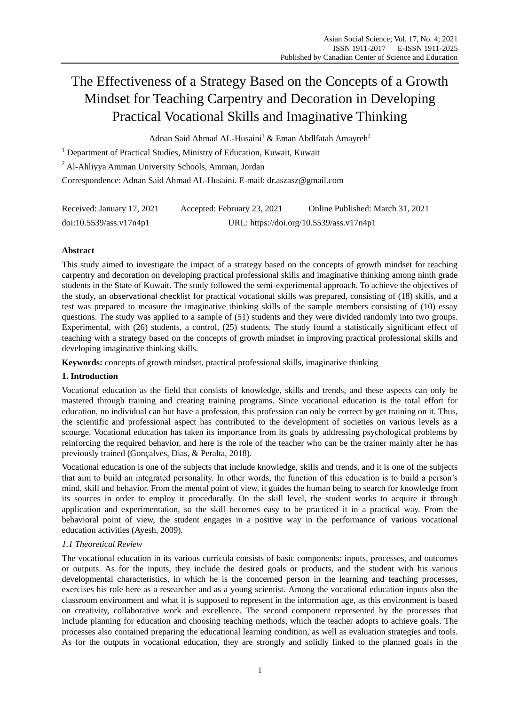# The Effectiveness of a Strategy Based on the Concepts of a Growth Mindset for Teaching Carpentry and Decoration in Developing Practical Vocational Skills and Imaginative Thinking

Adnan Said Ahmad AL-Husaini<sup>1</sup> & Eman Abdlfatah Amayreh<sup>2</sup>

<sup>1</sup> Department of Practical Studies, Ministry of Education, Kuwait, Kuwait

<sup>2</sup> Al-Ahliyya Amman University Schools, Amman, Jordan

Correspondence: Adnan Said Ahmad AL-Husaini. E-mail: dr.aszasz@gmail.com

| Received: January 17, 2021 | Accepted: February 23, 2021 | Online Published: March 31, 2021         |
|----------------------------|-----------------------------|------------------------------------------|
| doi:10.5539/ass.v17n4p1    |                             | URL: https://doi.org/10.5539/ass.v17n4p1 |

# **Abstract**

This study aimed to investigate the impact of a strategy based on the concepts of growth mindset for teaching carpentry and decoration on developing practical professional skills and imaginative thinking among ninth grade students in the State of Kuwait. The study followed the semi-experimental approach. To achieve the objectives of the study, an observational checklist for practical vocational skills was prepared, consisting of (18) skills, and a test was prepared to measure the imaginative thinking skills of the sample members consisting of (10) essay questions. The study was applied to a sample of (51) students and they were divided randomly into two groups. Experimental, with (26) students, a control, (25) students. The study found a statistically significant effect of teaching with a strategy based on the concepts of growth mindset in improving practical professional skills and developing imaginative thinking skills.

**Keywords:** concepts of growth mindset, practical professional skills, imaginative thinking

# **1. Introduction**

Vocational education as the field that consists of knowledge, skills and trends, and these aspects can only be mastered through training and creating training programs. Since vocational education is the total effort for education, no individual can but have a profession, this profession can only be correct by get training on it. Thus, the scientific and professional aspect has contributed to the development of societies on various levels as a scourge. Vocational education has taken its importance from its goals by addressing psychological problems by reinforcing the required behavior, and here is the role of the teacher who can be the trainer mainly after he has previously trained (Gonçalves, Dias, & Peralta, 2018).

Vocational education is one of the subjects that include knowledge, skills and trends, and it is one of the subjects that aim to build an integrated personality. In other words, the function of this education is to build a person's mind, skill and behavior. From the mental point of view, it guides the human being to search for knowledge from its sources in order to employ it procedurally. On the skill level, the student works to acquire it through application and experimentation, so the skill becomes easy to be practiced it in a practical way. From the behavioral point of view, the student engages in a positive way in the performance of various vocational education activities (Ayesh, 2009).

# *1.1 Theoretical Review*

The vocational education in its various curricula consists of basic components: inputs, processes, and outcomes or outputs. As for the inputs, they include the desired goals or products, and the student with his various developmental characteristics, in which he is the concerned person in the learning and teaching processes, exercises his role here as a researcher and as a young scientist. Among the vocational education inputs also the classroom environment and what it is supposed to represent in the information age, as this environment is based on creativity, collaborative work and excellence. The second component represented by the processes that include planning for education and choosing teaching methods, which the teacher adopts to achieve goals. The processes also contained preparing the educational learning condition, as well as evaluation strategies and tools. As for the outputs in vocational education, they are strongly and solidly linked to the planned goals in the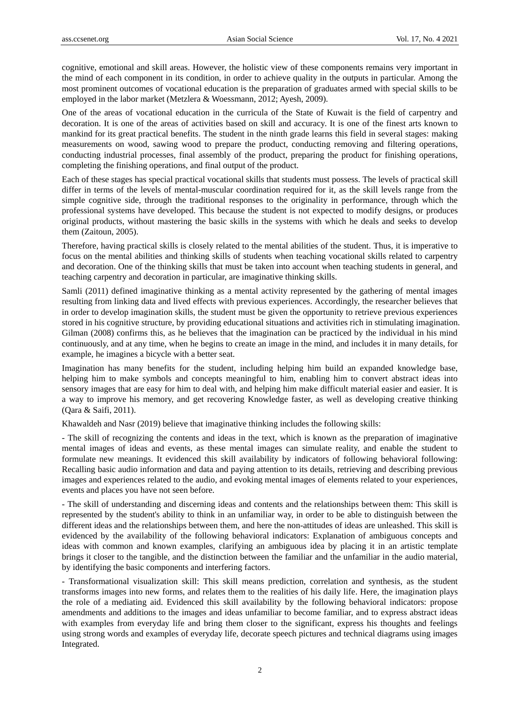cognitive, emotional and skill areas. However, the holistic view of these components remains very important in the mind of each component in its condition, in order to achieve quality in the outputs in particular. Among the most prominent outcomes of vocational education is the preparation of graduates armed with special skills to be employed in the labor market (Metzlera & Woessmann, 2012; Ayesh, 2009).

One of the areas of vocational education in the curricula of the State of Kuwait is the field of carpentry and decoration. It is one of the areas of activities based on skill and accuracy. It is one of the finest arts known to mankind for its great practical benefits. The student in the ninth grade learns this field in several stages: making measurements on wood, sawing wood to prepare the product, conducting removing and filtering operations, conducting industrial processes, final assembly of the product, preparing the product for finishing operations, completing the finishing operations, and final output of the product.

Each of these stages has special practical vocational skills that students must possess. The levels of practical skill differ in terms of the levels of mental-muscular coordination required for it, as the skill levels range from the simple cognitive side, through the traditional responses to the originality in performance, through which the professional systems have developed. This because the student is not expected to modify designs, or produces original products, without mastering the basic skills in the systems with which he deals and seeks to develop them (Zaitoun, 2005).

Therefore, having practical skills is closely related to the mental abilities of the student. Thus, it is imperative to focus on the mental abilities and thinking skills of students when teaching vocational skills related to carpentry and decoration. One of the thinking skills that must be taken into account when teaching students in general, and teaching carpentry and decoration in particular, are imaginative thinking skills.

Samli (2011) defined imaginative thinking as a mental activity represented by the gathering of mental images resulting from linking data and lived effects with previous experiences. Accordingly, the researcher believes that in order to develop imagination skills, the student must be given the opportunity to retrieve previous experiences stored in his cognitive structure, by providing educational situations and activities rich in stimulating imagination. Gilman (2008) confirms this, as he believes that the imagination can be practiced by the individual in his mind continuously, and at any time, when he begins to create an image in the mind, and includes it in many details, for example, he imagines a bicycle with a better seat.

Imagination has many benefits for the student, including helping him build an expanded knowledge base, helping him to make symbols and concepts meaningful to him, enabling him to convert abstract ideas into sensory images that are easy for him to deal with, and helping him make difficult material easier and easier. It is a way to improve his memory, and get recovering Knowledge faster, as well as developing creative thinking (Qara & Saifi, 2011).

Khawaldeh and Nasr (2019) believe that imaginative thinking includes the following skills:

- The skill of recognizing the contents and ideas in the text, which is known as the preparation of imaginative mental images of ideas and events, as these mental images can simulate reality, and enable the student to formulate new meanings. It evidenced this skill availability by indicators of following behavioral following: Recalling basic audio information and data and paying attention to its details, retrieving and describing previous images and experiences related to the audio, and evoking mental images of elements related to your experiences, events and places you have not seen before.

- The skill of understanding and discerning ideas and contents and the relationships between them: This skill is represented by the student's ability to think in an unfamiliar way, in order to be able to distinguish between the different ideas and the relationships between them, and here the non-attitudes of ideas are unleashed. This skill is evidenced by the availability of the following behavioral indicators: Explanation of ambiguous concepts and ideas with common and known examples, clarifying an ambiguous idea by placing it in an artistic template brings it closer to the tangible, and the distinction between the familiar and the unfamiliar in the audio material, by identifying the basic components and interfering factors.

- Transformational visualization skill: This skill means prediction, correlation and synthesis, as the student transforms images into new forms, and relates them to the realities of his daily life. Here, the imagination plays the role of a mediating aid. Evidenced this skill availability by the following behavioral indicators: propose amendments and additions to the images and ideas unfamiliar to become familiar, and to express abstract ideas with examples from everyday life and bring them closer to the significant, express his thoughts and feelings using strong words and examples of everyday life, decorate speech pictures and technical diagrams using images Integrated.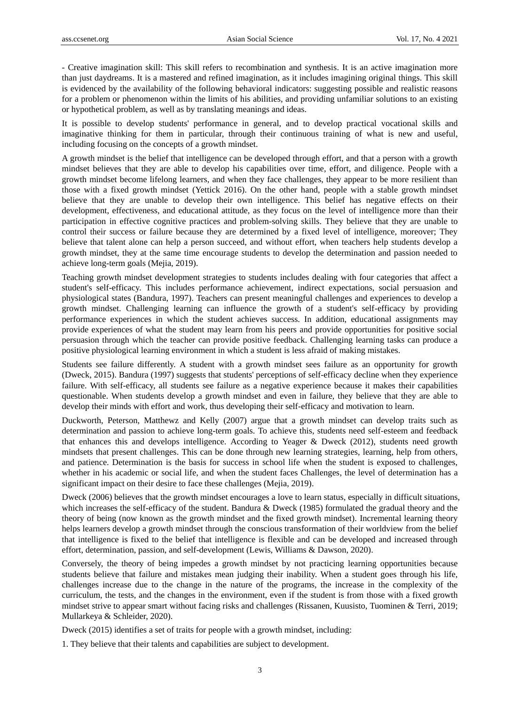- Creative imagination skill: This skill refers to recombination and synthesis. It is an active imagination more than just daydreams. It is a mastered and refined imagination, as it includes imagining original things. This skill is evidenced by the availability of the following behavioral indicators: suggesting possible and realistic reasons for a problem or phenomenon within the limits of his abilities, and providing unfamiliar solutions to an existing or hypothetical problem, as well as by translating meanings and ideas.

It is possible to develop students' performance in general, and to develop practical vocational skills and imaginative thinking for them in particular, through their continuous training of what is new and useful, including focusing on the concepts of a growth mindset.

A growth mindset is the belief that intelligence can be developed through effort, and that a person with a growth mindset believes that they are able to develop his capabilities over time, effort, and diligence. People with a growth mindset become lifelong learners, and when they face challenges, they appear to be more resilient than those with a fixed growth mindset (Yettick 2016). On the other hand, people with a stable growth mindset believe that they are unable to develop their own intelligence. This belief has negative effects on their development, effectiveness, and educational attitude, as they focus on the level of intelligence more than their participation in effective cognitive practices and problem-solving skills. They believe that they are unable to control their success or failure because they are determined by a fixed level of intelligence, moreover; They believe that talent alone can help a person succeed, and without effort, when teachers help students develop a growth mindset, they at the same time encourage students to develop the determination and passion needed to achieve long-term goals (Mejia, 2019).

Teaching growth mindset development strategies to students includes dealing with four categories that affect a student's self-efficacy. This includes performance achievement, indirect expectations, social persuasion and physiological states (Bandura, 1997). Teachers can present meaningful challenges and experiences to develop a growth mindset. Challenging learning can influence the growth of a student's self-efficacy by providing performance experiences in which the student achieves success. In addition, educational assignments may provide experiences of what the student may learn from his peers and provide opportunities for positive social persuasion through which the teacher can provide positive feedback. Challenging learning tasks can produce a positive physiological learning environment in which a student is less afraid of making mistakes.

Students see failure differently. A student with a growth mindset sees failure as an opportunity for growth (Dweck, 2015). Bandura (1997) suggests that students' perceptions of self-efficacy decline when they experience failure. With self-efficacy, all students see failure as a negative experience because it makes their capabilities questionable. When students develop a growth mindset and even in failure, they believe that they are able to develop their minds with effort and work, thus developing their self-efficacy and motivation to learn.

Duckworth, Peterson, Matthewz and Kelly (2007) argue that a growth mindset can develop traits such as determination and passion to achieve long-term goals. To achieve this, students need self-esteem and feedback that enhances this and develops intelligence. According to Yeager & Dweck (2012), students need growth mindsets that present challenges. This can be done through new learning strategies, learning, help from others, and patience. Determination is the basis for success in school life when the student is exposed to challenges, whether in his academic or social life, and when the student faces Challenges, the level of determination has a significant impact on their desire to face these challenges (Mejia, 2019).

Dweck (2006) believes that the growth mindset encourages a love to learn status, especially in difficult situations, which increases the self-efficacy of the student. Bandura & Dweck (1985) formulated the gradual theory and the theory of being (now known as the growth mindset and the fixed growth mindset). Incremental learning theory helps learners develop a growth mindset through the conscious transformation of their worldview from the belief that intelligence is fixed to the belief that intelligence is flexible and can be developed and increased through effort, determination, passion, and self-development (Lewis, Williams & Dawson, 2020).

Conversely, the theory of being impedes a growth mindset by not practicing learning opportunities because students believe that failure and mistakes mean judging their inability. When a student goes through his life, challenges increase due to the change in the nature of the programs, the increase in the complexity of the curriculum, the tests, and the changes in the environment, even if the student is from those with a fixed growth mindset strive to appear smart without facing risks and challenges (Rissanen, Kuusisto, Tuominen & Terri, 2019; Mullarkeya & Schleider, 2020).

Dweck (2015) identifies a set of traits for people with a growth mindset, including:

1. They believe that their talents and capabilities are subject to development.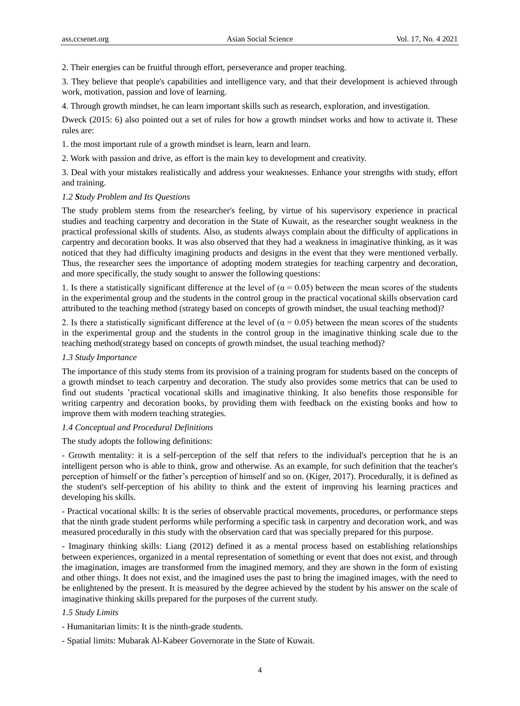2. Their energies can be fruitful through effort, perseverance and proper teaching.

3. They believe that people's capabilities and intelligence vary, and that their development is achieved through work, motivation, passion and love of learning.

4. Through growth mindset, he can learn important skills such as research, exploration, and investigation.

Dweck (2015: 6) also pointed out a set of rules for how a growth mindset works and how to activate it. These rules are:

1. the most important rule of a growth mindset is learn, learn and learn.

2. Work with passion and drive, as effort is the main key to development and creativity.

3. Deal with your mistakes realistically and address your weaknesses. Enhance your strengths with study, effort and training.

#### *1.2 Study Problem and Its Questions*

The study problem stems from the researcher's feeling, by virtue of his supervisory experience in practical studies and teaching carpentry and decoration in the State of Kuwait, as the researcher sought weakness in the practical professional skills of students. Also, as students always complain about the difficulty of applications in carpentry and decoration books. It was also observed that they had a weakness in imaginative thinking, as it was noticed that they had difficulty imagining products and designs in the event that they were mentioned verbally. Thus, the researcher sees the importance of adopting modern strategies for teaching carpentry and decoration, and more specifically, the study sought to answer the following questions:

1. Is there a statistically significant difference at the level of ( $\alpha$  = 0.05) between the mean scores of the students in the experimental group and the students in the control group in the practical vocational skills observation card attributed to the teaching method (strategy based on concepts of growth mindset, the usual teaching method)?

2. Is there a statistically significant difference at the level of ( $\alpha$  = 0.05) between the mean scores of the students in the experimental group and the students in the control group in the imaginative thinking scale due to the teaching method(strategy based on concepts of growth mindset, the usual teaching method)?

#### *1.3 Study Importance*

The importance of this study stems from its provision of a training program for students based on the concepts of a growth mindset to teach carpentry and decoration. The study also provides some metrics that can be used to find out students 'practical vocational skills and imaginative thinking. It also benefits those responsible for writing carpentry and decoration books, by providing them with feedback on the existing books and how to improve them with modern teaching strategies.

## *1.4 Conceptual and Procedural Definitions*

The study adopts the following definitions:

- Growth mentality: it is a self-perception of the self that refers to the individual's perception that he is an intelligent person who is able to think, grow and otherwise. As an example, for such definition that the teacher's perception of himself or the father's perception of himself and so on. (Kiger, 2017). Procedurally, it is defined as the student's self-perception of his ability to think and the extent of improving his learning practices and developing his skills.

- Practical vocational skills: It is the series of observable practical movements, procedures, or performance steps that the ninth grade student performs while performing a specific task in carpentry and decoration work, and was measured procedurally in this study with the observation card that was specially prepared for this purpose.

- Imaginary thinking skills: Liang (2012) defined it as a mental process based on establishing relationships between experiences, organized in a mental representation of something or event that does not exist, and through the imagination, images are transformed from the imagined memory, and they are shown in the form of existing and other things. It does not exist, and the imagined uses the past to bring the imagined images, with the need to be enlightened by the present. It is measured by the degree achieved by the student by his answer on the scale of imaginative thinking skills prepared for the purposes of the current study.

## *1.5 Study Limits*

- Humanitarian limits: It is the ninth-grade students.
- Spatial limits: Mubarak Al-Kabeer Governorate in the State of Kuwait.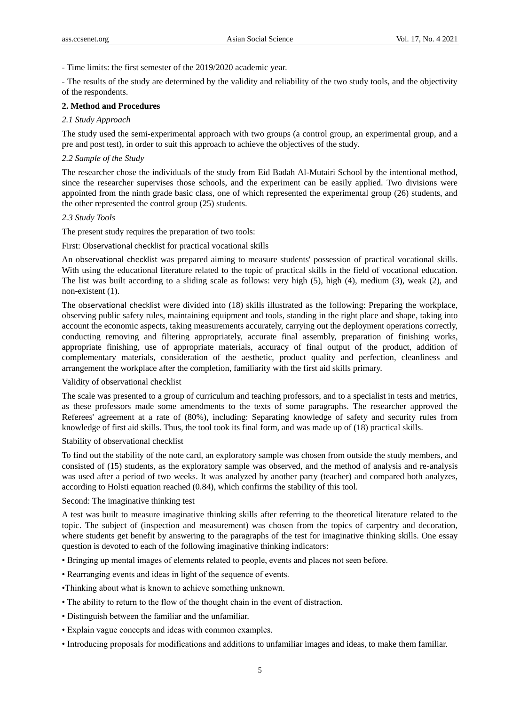- Time limits: the first semester of the 2019/2020 academic year.

- The results of the study are determined by the validity and reliability of the two study tools, and the objectivity of the respondents.

## **2. Method and Procedures**

# *2.1 Study Approach*

The study used the semi-experimental approach with two groups (a control group, an experimental group, and a pre and post test), in order to suit this approach to achieve the objectives of the study.

# *2.2 Sample of the Study*

The researcher chose the individuals of the study from Eid Badah Al-Mutairi School by the intentional method, since the researcher supervises those schools, and the experiment can be easily applied. Two divisions were appointed from the ninth grade basic class, one of which represented the experimental group (26) students, and the other represented the control group (25) students.

#### *2.3 Study Tools*

The present study requires the preparation of two tools:

First: Observational checklist for practical vocational skills

An observational checklist was prepared aiming to measure students' possession of practical vocational skills. With using the educational literature related to the topic of practical skills in the field of vocational education. The list was built according to a sliding scale as follows: very high (5), high (4), medium (3), weak (2), and non-existent (1).

The observational checklist were divided into (18) skills illustrated as the following: Preparing the workplace, observing public safety rules, maintaining equipment and tools, standing in the right place and shape, taking into account the economic aspects, taking measurements accurately, carrying out the deployment operations correctly, conducting removing and filtering appropriately, accurate final assembly, preparation of finishing works, appropriate finishing, use of appropriate materials, accuracy of final output of the product, addition of complementary materials, consideration of the aesthetic, product quality and perfection, cleanliness and arrangement the workplace after the completion, familiarity with the first aid skills primary.

## Validity of observational checklist

The scale was presented to a group of curriculum and teaching professors, and to a specialist in tests and metrics, as these professors made some amendments to the texts of some paragraphs. The researcher approved the Referees' agreement at a rate of (80%), including: Separating knowledge of safety and security rules from knowledge of first aid skills. Thus, the tool took its final form, and was made up of (18) practical skills.

## Stability of observational checklist

To find out the stability of the note card, an exploratory sample was chosen from outside the study members, and consisted of (15) students, as the exploratory sample was observed, and the method of analysis and re-analysis was used after a period of two weeks. It was analyzed by another party (teacher) and compared both analyzes, according to Holsti equation reached (0.84), which confirms the stability of this tool.

## Second: The imaginative thinking test

A test was built to measure imaginative thinking skills after referring to the theoretical literature related to the topic. The subject of (inspection and measurement) was chosen from the topics of carpentry and decoration, where students get benefit by answering to the paragraphs of the test for imaginative thinking skills. One essay question is devoted to each of the following imaginative thinking indicators:

- Bringing up mental images of elements related to people, events and places not seen before.
- Rearranging events and ideas in light of the sequence of events.
- •Thinking about what is known to achieve something unknown.
- The ability to return to the flow of the thought chain in the event of distraction.
- Distinguish between the familiar and the unfamiliar.
- Explain vague concepts and ideas with common examples.
- Introducing proposals for modifications and additions to unfamiliar images and ideas, to make them familiar.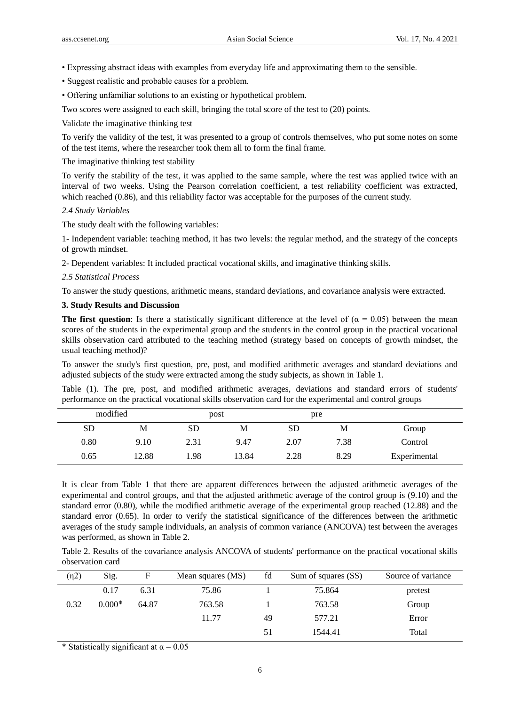- Expressing abstract ideas with examples from everyday life and approximating them to the sensible.
- Suggest realistic and probable causes for a problem.
- Offering unfamiliar solutions to an existing or hypothetical problem.

Two scores were assigned to each skill, bringing the total score of the test to (20) points.

Validate the imaginative thinking test

To verify the validity of the test, it was presented to a group of controls themselves, who put some notes on some of the test items, where the researcher took them all to form the final frame.

The imaginative thinking test stability

To verify the stability of the test, it was applied to the same sample, where the test was applied twice with an interval of two weeks. Using the Pearson correlation coefficient, a test reliability coefficient was extracted, which reached (0.86), and this reliability factor was acceptable for the purposes of the current study.

#### *2.4 Study Variables*

The study dealt with the following variables:

1- Independent variable: teaching method, it has two levels: the regular method, and the strategy of the concepts of growth mindset.

2- Dependent variables: It included practical vocational skills, and imaginative thinking skills.

*2.5 Statistical Process*

To answer the study questions, arithmetic means, standard deviations, and covariance analysis were extracted.

# **3. Study Results and Discussion**

**The first question**: Is there a statistically significant difference at the level of  $\alpha = 0.05$ ) between the mean scores of the students in the experimental group and the students in the control group in the practical vocational skills observation card attributed to the teaching method (strategy based on concepts of growth mindset, the usual teaching method)?

To answer the study's first question, pre, post, and modified arithmetic averages and standard deviations and adjusted subjects of the study were extracted among the study subjects, as shown in Table 1.

Table (1). The pre, post, and modified arithmetic averages, deviations and standard errors of students' performance on the practical vocational skills observation card for the experimental and control groups

| modified  |       | post      |       | pre  |      |              |
|-----------|-------|-----------|-------|------|------|--------------|
| <b>SD</b> | М     | <b>SD</b> | М     | SD   | М    | Group        |
| 0.80      | 9.10  | 2.31      | 9.47  | 2.07 | 7.38 | Control      |
| 0.65      | 12.88 | .98       | 13.84 | 2.28 | 8.29 | Experimental |

It is clear from Table 1 that there are apparent differences between the adjusted arithmetic averages of the experimental and control groups, and that the adjusted arithmetic average of the control group is (9.10) and the standard error (0.80), while the modified arithmetic average of the experimental group reached (12.88) and the standard error (0.65). In order to verify the statistical significance of the differences between the arithmetic averages of the study sample individuals, an analysis of common variance (ANCOVA) test between the averages was performed, as shown in Table 2.

Table 2. Results of the covariance analysis ANCOVA of students' performance on the practical vocational skills observation card

| (n2) | Sig.     | F     | Mean squares (MS) | fd | Sum of squares (SS) | Source of variance |
|------|----------|-------|-------------------|----|---------------------|--------------------|
|      | 0.17     | 6.31  | 75.86             |    | 75.864              | pretest            |
| 0.32 | $0.000*$ | 64.87 | 763.58            |    | 763.58              | Group              |
|      |          |       | 11.77             | 49 | 577.21              | Error              |
|      |          |       |                   | 51 | 1544.41             | Total              |

\* Statistically significant at  $\alpha = 0.05$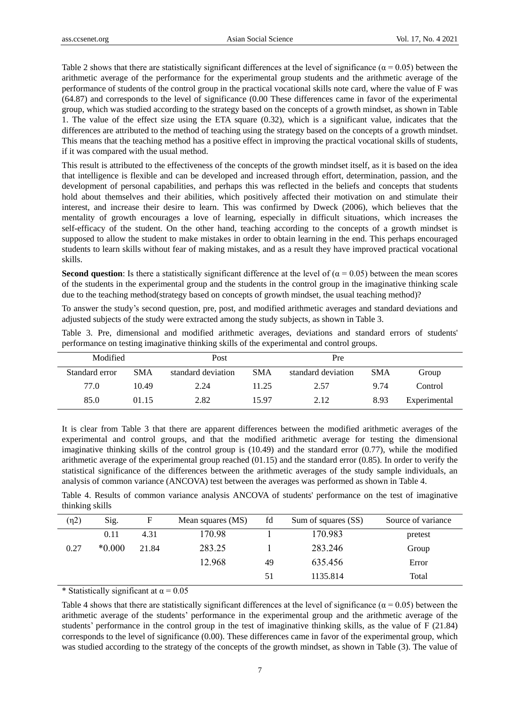Table 2 shows that there are statistically significant differences at the level of significance ( $\alpha$  = 0.05) between the arithmetic average of the performance for the experimental group students and the arithmetic average of the performance of students of the control group in the practical vocational skills note card, where the value of F was (64.87) and corresponds to the level of significance (0.00 These differences came in favor of the experimental group, which was studied according to the strategy based on the concepts of a growth mindset, as shown in Table 1. The value of the effect size using the ETA square (0.32), which is a significant value, indicates that the differences are attributed to the method of teaching using the strategy based on the concepts of a growth mindset. This means that the teaching method has a positive effect in improving the practical vocational skills of students, if it was compared with the usual method.

This result is attributed to the effectiveness of the concepts of the growth mindset itself, as it is based on the idea that intelligence is flexible and can be developed and increased through effort, determination, passion, and the development of personal capabilities, and perhaps this was reflected in the beliefs and concepts that students hold about themselves and their abilities, which positively affected their motivation on and stimulate their interest, and increase their desire to learn. This was confirmed by Dweck (2006), which believes that the mentality of growth encourages a love of learning, especially in difficult situations, which increases the self-efficacy of the student. On the other hand, teaching according to the concepts of a growth mindset is supposed to allow the student to make mistakes in order to obtain learning in the end. This perhaps encouraged students to learn skills without fear of making mistakes, and as a result they have improved practical vocational skills.

**Second question**: Is there a statistically significant difference at the level of ( $\alpha$  = 0.05) between the mean scores of the students in the experimental group and the students in the control group in the imaginative thinking scale due to the teaching method(strategy based on concepts of growth mindset, the usual teaching method)?

To answer the study's second question, pre, post, and modified arithmetic averages and standard deviations and adjusted subjects of the study were extracted among the study subjects, as shown in Table 3.

|  | Table 3. Pre, dimensional and modified arithmetic averages, deviations and standard errors of students' |  |  |  |  |  |
|--|---------------------------------------------------------------------------------------------------------|--|--|--|--|--|
|  | performance on testing imaginative thinking skills of the experimental and control groups.              |  |  |  |  |  |

| Modified       |            | Post               |            | Pre                |            |              |
|----------------|------------|--------------------|------------|--------------------|------------|--------------|
| Standard error | <b>SMA</b> | standard deviation | <b>SMA</b> | standard deviation | <b>SMA</b> | Group        |
| 77.0           | 10.49      | 2.24               | 11.25      | 2.57               | 9.74       | Control      |
| 85.0           | 01.15      | 2.82               | 15.97      | 2.12               | 8.93       | Experimental |

It is clear from Table 3 that there are apparent differences between the modified arithmetic averages of the experimental and control groups, and that the modified arithmetic average for testing the dimensional imaginative thinking skills of the control group is (10.49) and the standard error (0.77), while the modified arithmetic average of the experimental group reached  $(01.15)$  and the standard error  $(0.85)$ . In order to verify the statistical significance of the differences between the arithmetic averages of the study sample individuals, an analysis of common variance (ANCOVA) test between the averages was performed as shown in Table 4.

Table 4. Results of common variance analysis ANCOVA of students' performance on the test of imaginative thinking skills

| (n2) | Sig.     | F     | Mean squares (MS) | fd | Sum of squares (SS) | Source of variance |
|------|----------|-------|-------------------|----|---------------------|--------------------|
|      | 0.11     | 4.31  | 170.98            |    | 170.983             | pretest            |
| 0.27 | $*0.000$ | 21.84 | 283.25            |    | 283.246             | Group              |
|      |          |       | 12.968            | 49 | 635.456             | Error              |
|      |          |       |                   | 51 | 1135.814            | Total              |

\* Statistically significant at  $\alpha$  = 0.05

Table 4 shows that there are statistically significant differences at the level of significance ( $\alpha$  = 0.05) between the arithmetic average of the students' performance in the experimental group and the arithmetic average of the students' performance in the control group in the test of imaginative thinking skills, as the value of F (21.84) corresponds to the level of significance (0.00). These differences came in favor of the experimental group, which was studied according to the strategy of the concepts of the growth mindset, as shown in Table (3). The value of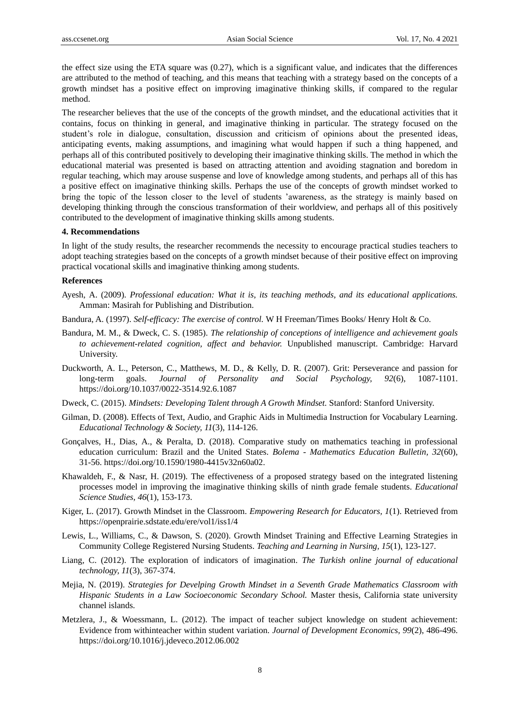the effect size using the ETA square was (0.27), which is a significant value, and indicates that the differences are attributed to the method of teaching, and this means that teaching with a strategy based on the concepts of a growth mindset has a positive effect on improving imaginative thinking skills, if compared to the regular method.

The researcher believes that the use of the concepts of the growth mindset, and the educational activities that it contains, focus on thinking in general, and imaginative thinking in particular. The strategy focused on the student's role in dialogue, consultation, discussion and criticism of opinions about the presented ideas, anticipating events, making assumptions, and imagining what would happen if such a thing happened, and perhaps all of this contributed positively to developing their imaginative thinking skills. The method in which the educational material was presented is based on attracting attention and avoiding stagnation and boredom in regular teaching, which may arouse suspense and love of knowledge among students, and perhaps all of this has a positive effect on imaginative thinking skills. Perhaps the use of the concepts of growth mindset worked to bring the topic of the lesson closer to the level of students 'awareness, as the strategy is mainly based on developing thinking through the conscious transformation of their worldview, and perhaps all of this positively contributed to the development of imaginative thinking skills among students.

#### **4. Recommendations**

In light of the study results, the researcher recommends the necessity to encourage practical studies teachers to adopt teaching strategies based on the concepts of a growth mindset because of their positive effect on improving practical vocational skills and imaginative thinking among students.

#### **References**

- Ayesh, A. (2009). *Professional education: What it is, its teaching methods, and its educational applications.*  Amman: Masirah for Publishing and Distribution.
- Bandura, A. (1997). *Self-efficacy: The exercise of control.* W H Freeman/Times Books/ Henry Holt & Co.
- Bandura, M. M., & Dweck, C. S. (1985). *The relationship of conceptions of intelligence and achievement goals to achievement-related cognition, affect and behavior.* Unpublished manuscript. Cambridge: Harvard University.
- Duckworth, A. L., Peterson, C., Matthews, M. D., & Kelly, D. R. (2007). Grit: Perseverance and passion for long-term goals. *Journal of Personality and Social Psychology, 92*(6), 1087-1101. [https://doi.org/10.1037/0022-3514.92.6.1087](https://psycnet.apa.org/doi/10.1037/0022-3514.92.6.1087)
- Dweck, C. (2015). *Mindsets: Developing Talent through A Growth Mindset.* Stanford: Stanford University.
- [Gilman,](https://www.researchgate.net/scientific-contributions/David-A-Gilman-70248983?_sg%5B0%5D=49IF3zG-pu-5Jpldw5h2wNR-hSBjFg570NF5gTk5mvxaDqBH6K0T8uoPtA_7ZCRQR3HoILk.xntjPYD5jDEcxi2OoWv63aDgah-X3JCM-Zw2DM-P0nrpCj-2WBMsoBRH9puQx9ltNTEaxH7sk_kU9tF08SNlNw&_sg%5B1%5D=sex1IdpP4hYggX5g3s4oGKUiA6M2xjdwNkUwAH15EIcZLGKDqCT_33nWWZnLXAUBC4VyQPc.XP4VGDIIOUR_KBuaQBuw6utRnLn-lDxgjpdQT66ZZh0_IuDs8E3X95FusAMSGW9YD6X3hvU65zJ07prmrFkRLA) D. (2008). Effects of Text, Audio, and Graphic Aids in Multimedia Instruction for Vocabulary Learning. *Educational Technology & Society, 11*(3), 114-126.
- Gonçalves, H., Dias, A., & Peralta, D. (2018). Comparative study on mathematics teaching in professional education curriculum: Brazil and the United States. *Bolema - Mathematics Education Bulletin, 32*(60), 31-56. https://doi.org/10.1590/1980-4415v32n60a02.
- Khawaldeh, F., & Nasr, H. (2019). The effectiveness of a proposed strategy based on the integrated listening processes model in improving the imaginative thinking skills of ninth grade female students. *Educational Science Studies, 46*(1), 153-173.
- Kiger, L. (2017). Growth Mindset in the Classroom. *Empowering Research for Educators, 1*(1). Retrieved from <https://openprairie.sdstate.edu/ere/vol1/iss1/4>
- Lewis, L., Williams, C., & Dawson, S. (2020). Growth Mindset Training and Effective Learning Strategies in Community College Registered Nursing Students. *Teaching and Learning in Nursing, 15*(1), 123-127.
- Liang, C. (2012). The exploration of indicators of imagination. *The Turkish online journal of educational technology, 11*(3), 367-374.
- Mejia, N. (2019). *Strategies for Develping Growth Mindset in a Seventh Grade Mathematics Classroom with Hispanic Students in a Law Socioeconomic Secondary School.* Master thesis, California state university channel islands.
- Metzlera, J., & Woessmann, L. (2012). The impact of teacher subject knowledge on student achievement: Evidence from withinteacher within student variation. *Journal of Development Economics, 99*(2), 486-496. https://doi.org/10.1016/j.jdeveco.2012.06.002